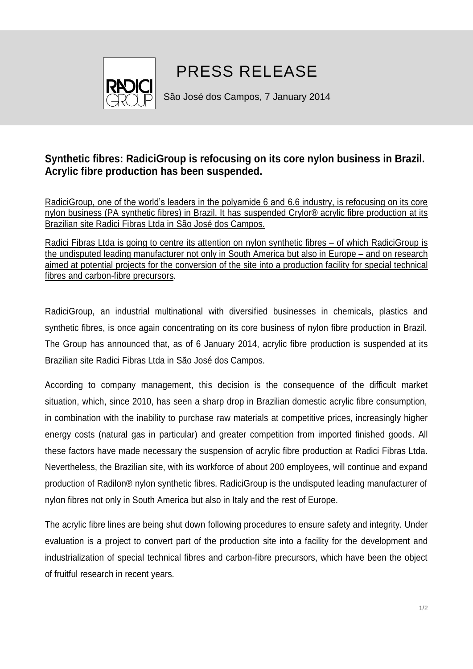

## PRESS RELEASE

São José dos Campos, 7 January 2014

## **Synthetic fibres: RadiciGroup is refocusing on its core nylon business in Brazil. Acrylic fibre production has been suspended.**

RadiciGroup, one of the world's leaders in the polyamide 6 and 6.6 industry, is refocusing on its core nylon business (PA synthetic fibres) in Brazil. It has suspended Crylor® acrylic fibre production at its Brazilian site Radici Fibras Ltda in São José dos Campos.

Radici Fibras Ltda is going to centre its attention on nylon synthetic fibres – of which RadiciGroup is the undisputed leading manufacturer not only in South America but also in Europe – and on research aimed at potential projects for the conversion of the site into a production facility for special technical fibres and carbon-fibre precursors.

RadiciGroup, an industrial multinational with diversified businesses in chemicals, plastics and synthetic fibres, is once again concentrating on its core business of nylon fibre production in Brazil. The Group has announced that, as of 6 January 2014, acrylic fibre production is suspended at its Brazilian site Radici Fibras Ltda in São José dos Campos.

According to company management, this decision is the consequence of the difficult market situation, which, since 2010, has seen a sharp drop in Brazilian domestic acrylic fibre consumption, in combination with the inability to purchase raw materials at competitive prices, increasingly higher energy costs (natural gas in particular) and greater competition from imported finished goods. All these factors have made necessary the suspension of acrylic fibre production at Radici Fibras Ltda. Nevertheless, the Brazilian site, with its workforce of about 200 employees, will continue and expand production of Radilon® nylon synthetic fibres. RadiciGroup is the undisputed leading manufacturer of nylon fibres not only in South America but also in Italy and the rest of Europe.

The acrylic fibre lines are being shut down following procedures to ensure safety and integrity. Under evaluation is a project to convert part of the production site into a facility for the development and industrialization of special technical fibres and carbon-fibre precursors, which have been the object of fruitful research in recent years.